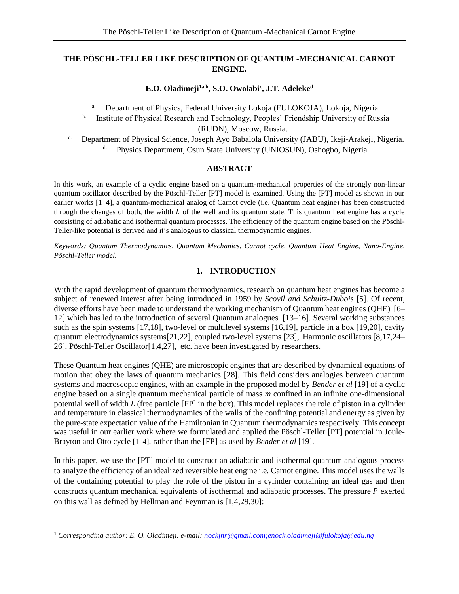# **THE PÖSCHL-TELLER LIKE DESCRIPTION OF QUANTUM -MECHANICAL CARNOT ENGINE.**

## **E.O. Oladimeji1a,b, S.O. Owolabi<sup>c</sup> , J.T. Adeleke<sup>d</sup>**

- a. Department of Physics, Federal University Lokoja (FULOKOJA), Lokoja, Nigeria.
- <sup>b.</sup> Institute of Physical Research and Technology, Peoples' Friendship University of Russia (RUDN), Moscow, Russia.
- c. Department of Physical Science, Joseph Ayo Babalola University (JABU), Ikeji-Arakeji, Nigeria. Physics Department, Osun State University (UNIOSUN), Oshogbo, Nigeria.

## **ABSTRACT**

In this work, an example of a cyclic engine based on a quantum-mechanical properties of the strongly non-linear quantum oscillator described by the Pöschl-Teller [PT] model is examined. Using the [PT] model as shown in our earlier works [1–4], a quantum-mechanical analog of Carnot cycle (i.e. Quantum heat engine) has been constructed through the changes of both, the width  $L$  of the well and its quantum state. This quantum heat engine has a cycle consisting of adiabatic and isothermal quantum processes. The efficiency of the quantum engine based on the Pöschl-Teller-like potential is derived and it's analogous to classical thermodynamic engines.

*Keywords: Quantum Thermodynamics, Quantum Mechanics, Carnot cycle, Quantum Heat Engine, Nano-Engine, Pöschl-Teller model.*

## **1. INTRODUCTION**

With the rapid development of quantum thermodynamics, research on quantum heat engines has become a subject of renewed interest after being introduced in 1959 by *Scovil and Schultz-Dubois* [5]. Of recent, diverse efforts have been made to understand the working mechanism of Quantum heat engines (QHE) [6– 12] which has led to the introduction of several Quantum analogues [13–16]. Several working substances such as the spin systems [17,18], two-level or multilevel systems [16,19], particle in a box [19,20], cavity quantum electrodynamics systems[21,22], coupled two-level systems [23], Harmonic oscillators [8,17,24– 26], Pöschl-Teller Oscillator[1,4,27], etc. have been investigated by researchers.

These Quantum heat engines (QHE) are microscopic engines that are described by dynamical equations of motion that obey the laws of quantum mechanics [28]. This field considers analogies between quantum systems and macroscopic engines, with an example in the proposed model by *Bender et al* [19] of a cyclic engine based on a single quantum mechanical particle of mass *m* confined in an infinite one-dimensional potential well of width  $L$  (free particle [FP] in the box). This model replaces the role of piston in a cylinder and temperature in classical thermodynamics of the walls of the confining potential and energy as given by the pure-state expectation value of the Hamiltonian in Quantum thermodynamics respectively. This concept was useful in our earlier work where we formulated and applied the Pöschl-Teller [PT] potential in Joule-Brayton and Otto cycle [1–4], rather than the [FP] as used by *Bender et al* [19].

In this paper, we use the [PT] model to construct an adiabatic and isothermal quantum analogous process to analyze the efficiency of an idealized reversible heat engine i.e. Carnot engine. This model uses the walls of the containing potential to play the role of the piston in a cylinder containing an ideal gas and then constructs quantum mechanical equivalents of isothermal and adiabatic processes. The pressure  $P$  exerted on this wall as defined by Hellman and Feynman is [1,4,29,30]:

 $\overline{a}$ 

<sup>1</sup> *Corresponding author: E. O. Oladimeji. e-mail[: nockjnr@gmail.com;enock.oladimeji@fulokoja@edu.ng](mailto:nockjnr@gmail.com;enock.oladimeji@fulokoja@edu.ng)*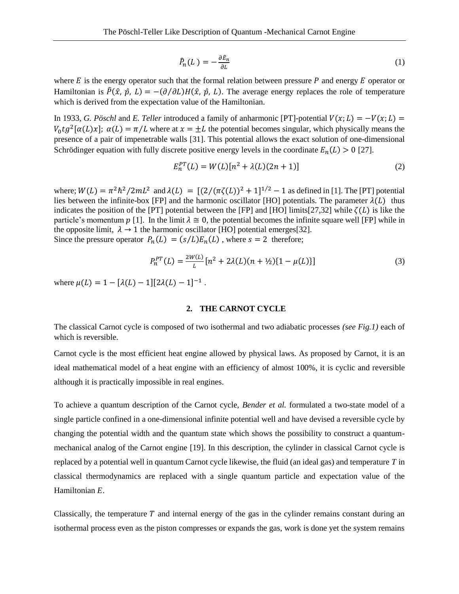$$
\hat{P}_n(L) = -\frac{\partial \hat{E}_n}{\partial L} \tag{1}
$$

where  $E$  is the energy operator such that the formal relation between pressure  $P$  and energy  $E$  operator or Hamiltonian is  $\hat{P}(\hat{x}, \hat{p}, L) = -(\partial/\partial L)H(\hat{x}, \hat{p}, L)$ . The average energy replaces the role of temperature which is derived from the expectation value of the Hamiltonian.

In 1933, *G. Pöschl* and *E. Teller* introduced a family of anharmonic [PT]-potential  $V(x; L) = -V(x; L)$  $V_0 t g^2 [\alpha(L)x]$ ;  $\alpha(L) = \pi/L$  where at  $x = \pm L$  the potential becomes singular, which physically means the presence of a pair of impenetrable walls [31]. This potential allows the exact solution of one-dimensional Schrödinger equation with fully discrete positive energy levels in the coordinate  $E_n(L) > 0$  [27].

$$
E_n^{PT}(L) = W(L)[n^2 + \lambda(L)(2n + 1)]
$$
\n(2)

where;  $W(L) = \pi^2 h^2 / 2mL^2$  and  $\lambda(L) = [(2/(\pi \zeta(L))^2 + 1]^{1/2} - 1$  as defined in [1]. The [PT] potential lies between the infinite-box [FP] and the harmonic oscillator [HO] potentials. The parameter  $\lambda(L)$  thus indicates the position of the [PT] potential between the [FP] and [HO] limits[27,32] while  $\zeta(L)$  is like the particle's momentum  $p$  [1]. In the limit  $\lambda \cong 0$ , the potential becomes the infinite square well [FP] while in the opposite limit,  $\lambda \rightarrow 1$  the harmonic oscillator [HO] potential emerges[32]. Since the pressure operator  $P_n(L) = (s/L)E_n(L)$ , where  $s = 2$  therefore;

$$
P_n^{PT}(L) = \frac{2W(L)}{L} [n^2 + 2\lambda(L)(n + \frac{1}{2})\{1 - \mu(L)\}]
$$
\n(3)

where  $\mu(L) = 1 - [\lambda(L) - 1][2\lambda(L) - 1]^{-1}$ .

### **2. THE CARNOT CYCLE**

The classical Carnot cycle is composed of two isothermal and two adiabatic processes *(see Fig.1)* each of which is reversible.

Carnot cycle is the most efficient heat engine allowed by physical laws. As proposed by Carnot, it is an ideal mathematical model of a heat engine with an efficiency of almost 100%, it is cyclic and reversible although it is practically impossible in real engines.

To achieve a quantum description of the Carnot cycle, *Bender et al.* formulated a two-state model of a single particle confined in a one-dimensional infinite potential well and have devised a reversible cycle by changing the potential width and the quantum state which shows the possibility to construct a quantummechanical analog of the Carnot engine [19]. In this description, the cylinder in classical Carnot cycle is replaced by a potential well in quantum Carnot cycle likewise, the fluid (an ideal gas) and temperature *T* in classical thermodynamics are replaced with a single quantum particle and expectation value of the Hamiltonian *E.*

Classically, the temperature  $T$  and internal energy of the gas in the cylinder remains constant during an isothermal process even as the piston compresses or expands the gas, work is done yet the system remains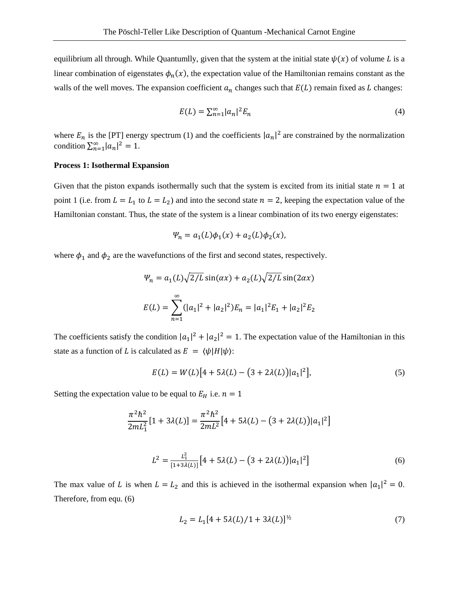equilibrium all through. While Quantumlly, given that the system at the initial state  $\psi(x)$  of volume L is a linear combination of eigenstates  $\phi_n(x)$ , the expectation value of the Hamiltonian remains constant as the walls of the well moves. The expansion coefficient  $a_n$  changes such that  $E(L)$  remain fixed as  $L$  changes:

$$
E(L) = \sum_{n=1}^{\infty} |a_n|^2 E_n \tag{4}
$$

where  $E_n$  is the [PT] energy spectrum (1) and the coefficients  $|a_n|^2$  are constrained by the normalization condition  $\sum_{n=1}^{\infty} |a_n|^2 = 1$ .

### **Process 1: Isothermal Expansion**

Given that the piston expands isothermally such that the system is excited from its initial state  $n = 1$  at point 1 (i.e. from  $L = L_1$  to  $L = L_2$ ) and into the second state  $n = 2$ , keeping the expectation value of the Hamiltonian constant. Thus, the state of the system is a linear combination of its two energy eigenstates:

$$
\Psi_n = a_1(L)\phi_1(x) + a_2(L)\phi_2(x),
$$

where  $\phi_1$  and  $\phi_2$  are the wavefunctions of the first and second states, respectively.

$$
\Psi_n = a_1(L)\sqrt{2/L}\sin(\alpha x) + a_2(L)\sqrt{2/L}\sin(2\alpha x)
$$

$$
E(L) = \sum_{n=1}^{\infty} (|a_1|^2 + |a_2|^2)E_n = |a_1|^2 E_1 + |a_2|^2 E_2
$$

The coefficients satisfy the condition  $|a_1|^2 + |a_2|^2 = 1$ . The expectation value of the Hamiltonian in this state as a function of L is calculated as  $E = \langle \psi | H | \psi \rangle$ :

$$
E(L) = W(L)[4 + 5\lambda(L) - (3 + 2\lambda(L))|a_1|^2],
$$
\n(5)

Setting the expectation value to be equal to  $E_H$  i.e.  $n = 1$ 

$$
\frac{\pi^2 \hbar^2}{2mL_1^2} [1 + 3\lambda(L)] = \frac{\pi^2 \hbar^2}{2mL^2} [4 + 5\lambda(L) - (3 + 2\lambda(L))|a_1|^2]
$$
  

$$
L^2 = \frac{L_1^2}{[1 + 3\lambda(L)]} [4 + 5\lambda(L) - (3 + 2\lambda(L))|a_1|^2]
$$
(6)

The max value of L is when  $L = L_2$  and this is achieved in the isothermal expansion when  $|a_1|^2 = 0$ . Therefore, from equ. (6)

$$
L_2 = L_1[4 + 5\lambda(L)/1 + 3\lambda(L)]^{\frac{1}{2}}
$$
\n(7)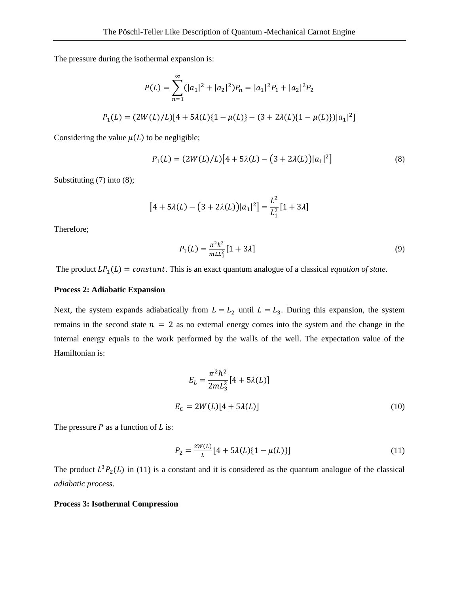The pressure during the isothermal expansion is:

$$
P(L) = \sum_{n=1}^{\infty} (|a_1|^2 + |a_2|^2) P_n = |a_1|^2 P_1 + |a_2|^2 P_2
$$
  

$$
P_1(L) = (2W(L)/L)[4 + 5\lambda(L)\{1 - \mu(L)\} - (3 + 2\lambda(L)\{1 - \mu(L)\})|a_1|^2]
$$

Considering the value  $\mu(L)$  to be negligible;

$$
P_1(L) = (2W(L)/L)[4 + 5\lambda(L) - (3 + 2\lambda(L))|a_1|^2]
$$
\n(8)

Substituting (7) into (8);

$$
[4 + 5\lambda(L) - (3 + 2\lambda(L))|a_1|^2] = \frac{L^2}{L_1^2} [1 + 3\lambda]
$$

Therefore;

$$
P_1(L) = \frac{\pi^2 \hbar^2}{m L L_1^2} [1 + 3\lambda]
$$
\n(9)

The product  $LP_1(L) = constant$ . This is an exact quantum analogue of a classical *equation of state*.

### **Process 2: Adiabatic Expansion**

Next, the system expands adiabatically from  $L = L_2$  until  $L = L_3$ . During this expansion, the system remains in the second state  $n = 2$  as no external energy comes into the system and the change in the internal energy equals to the work performed by the walls of the well. The expectation value of the Hamiltonian is:

$$
E_L = \frac{\pi^2 \hbar^2}{2mL_3^2} [4 + 5\lambda(L)]
$$
  

$$
E_C = 2W(L)[4 + 5\lambda(L)]
$$
 (10)

The pressure  $P$  as a function of  $L$  is:

$$
P_2 = \frac{2W(L)}{L} [4 + 5\lambda(L)\{1 - \mu(L)\}]
$$
\n(11)

The product  $L^3P_2(L)$  in (11) is a constant and it is considered as the quantum analogue of the classical *adiabatic process*.

#### **Process 3: Isothermal Compression**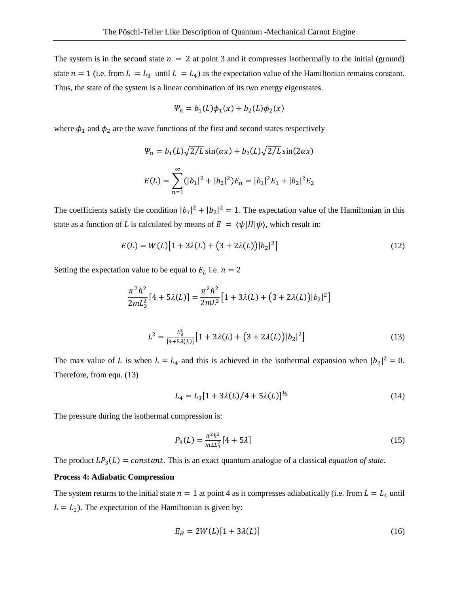The system is in the second state  $n = 2$  at point 3 and it compresses Isothermally to the initial (ground) state  $n = 1$  (i.e. from  $L = L_3$  until  $L = L_4$ ) as the expectation value of the Hamiltonian remains constant. Thus, the state of the system is a linear combination of its two energy eigenstates.

$$
\Psi_n = b_1(L)\phi_1(x) + b_2(L)\phi_2(x)
$$

where  $\phi_1$  and  $\phi_2$  are the wave functions of the first and second states respectively

$$
\Psi_n = b_1(L)\sqrt{2/L}\sin(\alpha x) + b_2(L)\sqrt{2/L}\sin(2\alpha x)
$$

$$
E(L) = \sum_{n=1}^{\infty} (|b_1|^2 + |b_2|^2)E_n = |b_1|^2 E_1 + |b_2|^2 E_2
$$

The coefficients satisfy the condition  $|b_1|^2 + |b_2|^2 = 1$ . The expectation value of the Hamiltonian in this state as a function of *L* is calculated by means of  $E = \langle \psi | H | \psi \rangle$ , which result in:

$$
E(L) = W(L)[1 + 3\lambda(L) + (3 + 2\lambda(L))|b_2|^2]
$$
\n(12)

Setting the expectation value to be equal to  $E_L$  i.e.  $n = 2$ 

$$
\frac{\pi^2 \hbar^2}{2mL_3^2} [4 + 5\lambda(L)] = \frac{\pi^2 \hbar^2}{2mL^2} [1 + 3\lambda(L) + (3 + 2\lambda(L))|b_2|^2]
$$
  

$$
L^2 = \frac{L_3^2}{[4 + 5\lambda(L)]} [1 + 3\lambda(L) + (3 + 2\lambda(L))|b_2|^2]
$$
(13)

The max value of L is when  $L = L_4$  and this is achieved in the isothermal expansion when  $|b_2|^2 = 0$ . Therefore, from equ. (13)

$$
L_4 = L_3[1 + 3\lambda(L)/4 + 5\lambda(L)]^{1/2}
$$
 (14)

The pressure during the isothermal compression is:

$$
P_3(L) = \frac{\pi^2 \hbar^2}{m L L_3^2} [4 + 5\lambda]
$$
 (15)

The product  $LP_3(L) = constant$ . This is an exact quantum analogue of a classical *equation of state*.

#### **Process 4: Adiabatic Compression**

The system returns to the initial state  $n = 1$  at point 4 as it compresses adiabatically (i.e. from  $L = L<sub>4</sub>$  until  $L = L<sub>1</sub>$ ). The expectation of the Hamiltonian is given by:

$$
E_H = 2W(L)[1 + 3\lambda(L)]
$$
 (16)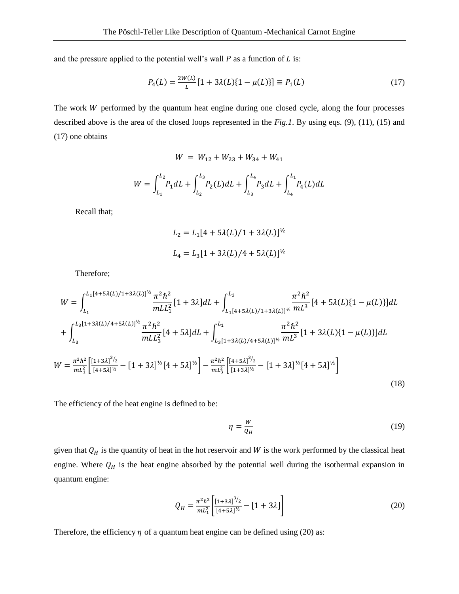and the pressure applied to the potential well's wall  $P$  as a function of  $L$  is:

$$
P_4(L) = \frac{2W(L)}{L} [1 + 3\lambda(L)\{1 - \mu(L)\}] \equiv P_1(L) \tag{17}
$$

The work  $W$  performed by the quantum heat engine during one closed cycle, along the four processes described above is the area of the closed loops represented in the *Fig.1*. By using eqs. (9), (11), (15) and (17) one obtains

$$
W = W_{12} + W_{23} + W_{34} + W_{41}
$$

$$
W = \int_{L_1}^{L_2} P_1 dL + \int_{L_2}^{L_3} P_2(L) dL + \int_{L_3}^{L_4} P_3 dL + \int_{L_4}^{L_1} P_4(L) dL
$$

Recall that;

$$
L_2 = L_1[4 + 5\lambda(L)/1 + 3\lambda(L)]^{1/2}
$$
  

$$
L_4 = L_3[1 + 3\lambda(L)/4 + 5\lambda(L)]^{1/2}
$$

Therefore;

$$
W = \int_{L_1}^{L_1[4+5\lambda(L)/1+3\lambda(L)]^{1/2}} \frac{\pi^2 \hbar^2}{mL L_1^2} [1+3\lambda] dL + \int_{L_1[4+5\lambda(L)/1+3\lambda(L)]^{1/2}}^{L_3} \frac{\pi^2 \hbar^2}{mL^3} [4+5\lambda(L)\{1-\mu(L)\}] dL
$$
  
+ 
$$
\int_{L_3}^{L_3[1+3\lambda(L)/4+5\lambda(L)]^{1/2}} \frac{\pi^2 \hbar^2}{mL L_3^2} [4+5\lambda] dL + \int_{L_3[1+3\lambda(L)/4+5\lambda(L)]^{1/2}}^{L_1} \frac{\pi^2 \hbar^2}{mL^3} [1+3\lambda(L)\{1-\mu(L)\}] dL
$$
  

$$
W = \frac{\pi^2 \hbar^2}{mL_1^2} \Big[ \frac{[1+3\lambda]^{3/2}}{[4+5\lambda]^{1/2}} - [1+3\lambda]^{1/2} [4+5\lambda]^{1/2} \Big] - \frac{\pi^2 \hbar^2}{mL_3^2} \Big[ \frac{[4+5\lambda]^{3/2}}{[1+3\lambda]^{1/2}} - [1+3\lambda]^{1/2} [4+5\lambda]^{1/2} \Big]
$$
(18)

The efficiency of the heat engine is defined to be:

$$
\eta = \frac{w}{\varrho_H} \tag{19}
$$

given that  $Q_H$  is the quantity of heat in the hot reservoir and W is the work performed by the classical heat engine. Where  $Q_H$  is the heat engine absorbed by the potential well during the isothermal expansion in quantum engine:

$$
Q_H = \frac{\pi^2 \hbar^2}{m L_1^2} \left[ \frac{\left[1 + 3\lambda\right]^3 / 2}{\left[4 + 5\lambda\right]^{1/2}} - \left[1 + 3\lambda\right] \right] \tag{20}
$$

Therefore, the efficiency  $\eta$  of a quantum heat engine can be defined using (20) as: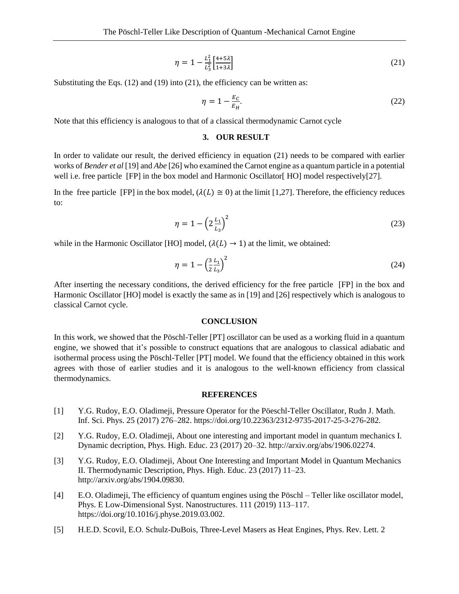$$
\eta = 1 - \frac{L_1^2}{L_3^2} \left[ \frac{4+5\lambda}{1+3\lambda} \right] \tag{21}
$$

Substituting the Eqs.  $(12)$  and  $(19)$  into  $(21)$ , the efficiency can be written as:

$$
\eta = 1 - \frac{E_C}{E_H}.\tag{22}
$$

Note that this efficiency is analogous to that of a classical thermodynamic Carnot cycle

### **3. OUR RESULT**

In order to validate our result, the derived efficiency in equation (21) needs to be compared with earlier works of *Bender et al* [19] and *Abe* [26] who examined the Carnot engine as a quantum particle in a potential well i.e. free particle [FP] in the box model and Harmonic Oscillator [HO] model respectively[27].

In the free particle [FP] in the box model,  $(\lambda(L) \cong 0)$  at the limit [1,27]. Therefore, the efficiency reduces to:

$$
\eta = 1 - \left(2 \frac{L_1}{L_3}\right)^2 \tag{23}
$$

while in the Harmonic Oscillator [HO] model,  $(\lambda(L) \rightarrow 1)$  at the limit, we obtained:

$$
\eta = 1 - \left(\frac{3}{2} \frac{L_1}{L_3}\right)^2 \tag{24}
$$

After inserting the necessary conditions, the derived efficiency for the free particle [FP] in the box and Harmonic Oscillator [HO] model is exactly the same as in [19] and [26] respectively which is analogous to classical Carnot cycle.

### **CONCLUSION**

In this work, we showed that the Pöschl-Teller [PT] oscillator can be used as a working fluid in a quantum engine, we showed that it's possible to construct equations that are analogous to classical adiabatic and isothermal process using the Pöschl-Teller [PT] model. We found that the efficiency obtained in this work agrees with those of earlier studies and it is analogous to the well-known efficiency from classical thermodynamics.

#### **REFERENCES**

- [1] Y.G. Rudoy, E.O. Oladimeji, Pressure Operator for the Pöeschl-Teller Oscillator, Rudn J. Math. Inf. Sci. Phys. 25 (2017) 276–282. https://doi.org/10.22363/2312-9735-2017-25-3-276-282.
- [2] Y.G. Rudoy, E.O. Oladimeji, About one interesting and important model in quantum mechanics I. Dynamic decription, Phys. High. Educ. 23 (2017) 20–32. http://arxiv.org/abs/1906.02274.
- [3] Y.G. Rudoy, E.O. Oladimeji, About One Interesting and Important Model in Quantum Mechanics II. Thermodynamic Description, Phys. High. Educ. 23 (2017) 11–23. http://arxiv.org/abs/1904.09830.
- [4] E.O. Oladimeji, The efficiency of quantum engines using the Pöschl Teller like oscillator model, Phys. E Low-Dimensional Syst. Nanostructures. 111 (2019) 113–117. https://doi.org/10.1016/j.physe.2019.03.002.
- [5] H.E.D. Scovil, E.O. Schulz-DuBois, Three-Level Masers as Heat Engines, Phys. Rev. Lett. 2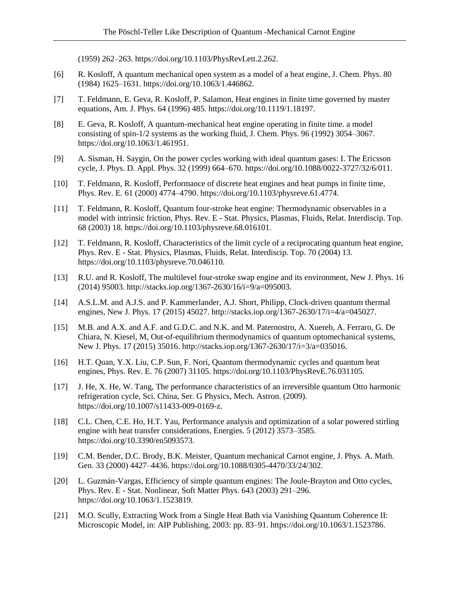(1959) 262–263. https://doi.org/10.1103/PhysRevLett.2.262.

- [6] R. Kosloff, A quantum mechanical open system as a model of a heat engine, J. Chem. Phys. 80 (1984) 1625–1631. https://doi.org/10.1063/1.446862.
- [7] T. Feldmann, E. Geva, R. Kosloff, P. Salamon, Heat engines in finite time governed by master equations, Am. J. Phys. 64 (1996) 485. https://doi.org/10.1119/1.18197.
- [8] E. Geva, R. Kosloff, A quantum-mechanical heat engine operating in finite time. a model consisting of spin-1/2 systems as the working fluid, J. Chem. Phys. 96 (1992) 3054–3067. https://doi.org/10.1063/1.461951.
- [9] A. Sisman, H. Saygin, On the power cycles working with ideal quantum gases: I. The Ericsson cycle, J. Phys. D. Appl. Phys. 32 (1999) 664–670. https://doi.org/10.1088/0022-3727/32/6/011.
- [10] T. Feldmann, R. Kosloff, Performance of discrete heat engines and heat pumps in finite time, Phys. Rev. E. 61 (2000) 4774–4790. https://doi.org/10.1103/physreve.61.4774.
- [11] T. Feldmann, R. Kosloff, Quantum four-stroke heat engine: Thermodynamic observables in a model with intrinsic friction, Phys. Rev. E - Stat. Physics, Plasmas, Fluids, Relat. Interdiscip. Top. 68 (2003) 18. https://doi.org/10.1103/physreve.68.016101.
- [12] T. Feldmann, R. Kosloff, Characteristics of the limit cycle of a reciprocating quantum heat engine, Phys. Rev. E - Stat. Physics, Plasmas, Fluids, Relat. Interdiscip. Top. 70 (2004) 13. https://doi.org/10.1103/physreve.70.046110.
- [13] R.U. and R. Kosloff, The multilevel four-stroke swap engine and its environment, New J. Phys. 16 (2014) 95003. http://stacks.iop.org/1367-2630/16/i=9/a=095003.
- [14] A.S.L.M. and A.J.S. and P. Kammerlander, A.J. Short, Philipp, Clock-driven quantum thermal engines, New J. Phys. 17 (2015) 45027. http://stacks.iop.org/1367-2630/17/i=4/a=045027.
- [15] M.B. and A.X. and A.F. and G.D.C. and N.K. and M. Paternostro, A. Xuereb, A. Ferraro, G. De Chiara, N. Kiesel, M, Out-of-equilibrium thermodynamics of quantum optomechanical systems, New J. Phys. 17 (2015) 35016. http://stacks.iop.org/1367-2630/17/i=3/a=035016.
- [16] H.T. Quan, Y.X. Liu, C.P. Sun, F. Nori, Quantum thermodynamic cycles and quantum heat engines, Phys. Rev. E. 76 (2007) 31105. https://doi.org/10.1103/PhysRevE.76.031105.
- [17] J. He, X. He, W. Tang, The performance characteristics of an irreversible quantum Otto harmonic refrigeration cycle, Sci. China, Ser. G Physics, Mech. Astron. (2009). https://doi.org/10.1007/s11433-009-0169-z.
- [18] C.L. Chen, C.E. Ho, H.T. Yau, Performance analysis and optimization of a solar powered stirling engine with heat transfer considerations, Energies. 5 (2012) 3573–3585. https://doi.org/10.3390/en5093573.
- [19] C.M. Bender, D.C. Brody, B.K. Meister, Quantum mechanical Carnot engine, J. Phys. A. Math. Gen. 33 (2000) 4427–4436. https://doi.org/10.1088/0305-4470/33/24/302.
- [20] L. Guzmán-Vargas, Efficiency of simple quantum engines: The Joule-Brayton and Otto cycles, Phys. Rev. E - Stat. Nonlinear, Soft Matter Phys. 643 (2003) 291–296. https://doi.org/10.1063/1.1523819.
- [21] M.O. Scully, Extracting Work from a Single Heat Bath via Vanishing Quantum Coherence II: Microscopic Model, in: AIP Publishing, 2003: pp. 83–91. https://doi.org/10.1063/1.1523786.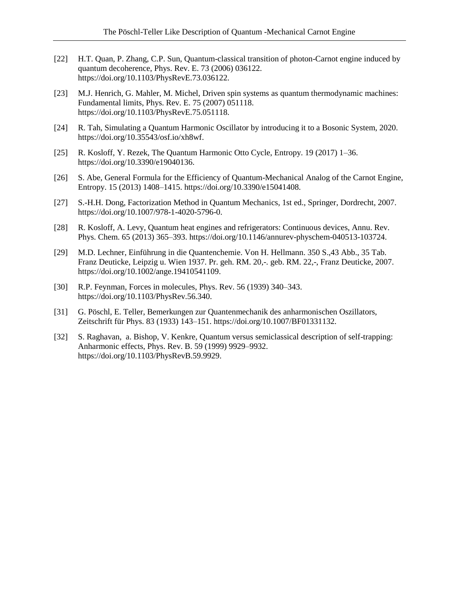- [22] H.T. Quan, P. Zhang, C.P. Sun, Quantum-classical transition of photon-Carnot engine induced by quantum decoherence, Phys. Rev. E. 73 (2006) 036122. https://doi.org/10.1103/PhysRevE.73.036122.
- [23] M.J. Henrich, G. Mahler, M. Michel, Driven spin systems as quantum thermodynamic machines: Fundamental limits, Phys. Rev. E. 75 (2007) 051118. https://doi.org/10.1103/PhysRevE.75.051118.
- [24] R. Tah, Simulating a Quantum Harmonic Oscillator by introducing it to a Bosonic System, 2020. https://doi.org/10.35543/osf.io/xh8wf.
- [25] R. Kosloff, Y. Rezek, The Quantum Harmonic Otto Cycle, Entropy. 19 (2017) 1–36. https://doi.org/10.3390/e19040136.
- [26] S. Abe, General Formula for the Efficiency of Quantum-Mechanical Analog of the Carnot Engine, Entropy. 15 (2013) 1408–1415. https://doi.org/10.3390/e15041408.
- [27] S.-H.H. Dong, Factorization Method in Quantum Mechanics, 1st ed., Springer, Dordrecht, 2007. https://doi.org/10.1007/978-1-4020-5796-0.
- [28] R. Kosloff, A. Levy, Quantum heat engines and refrigerators: Continuous devices, Annu. Rev. Phys. Chem. 65 (2013) 365–393. https://doi.org/10.1146/annurev-physchem-040513-103724.
- [29] M.D. Lechner, Einführung in die Quantenchemie. Von H. Hellmann. 350 S.,43 Abb., 35 Tab. Franz Deuticke, Leipzig u. Wien 1937. Pr. geh. RM. 20,-. geb. RM. 22,-, Franz Deuticke, 2007. https://doi.org/10.1002/ange.19410541109.
- [30] R.P. Feynman, Forces in molecules, Phys. Rev. 56 (1939) 340–343. https://doi.org/10.1103/PhysRev.56.340.
- [31] G. Pöschl, E. Teller, Bemerkungen zur Quantenmechanik des anharmonischen Oszillators, Zeitschrift für Phys. 83 (1933) 143–151. https://doi.org/10.1007/BF01331132.
- [32] S. Raghavan, a. Bishop, V. Kenkre, Quantum versus semiclassical description of self-trapping: Anharmonic effects, Phys. Rev. B. 59 (1999) 9929–9932. https://doi.org/10.1103/PhysRevB.59.9929.